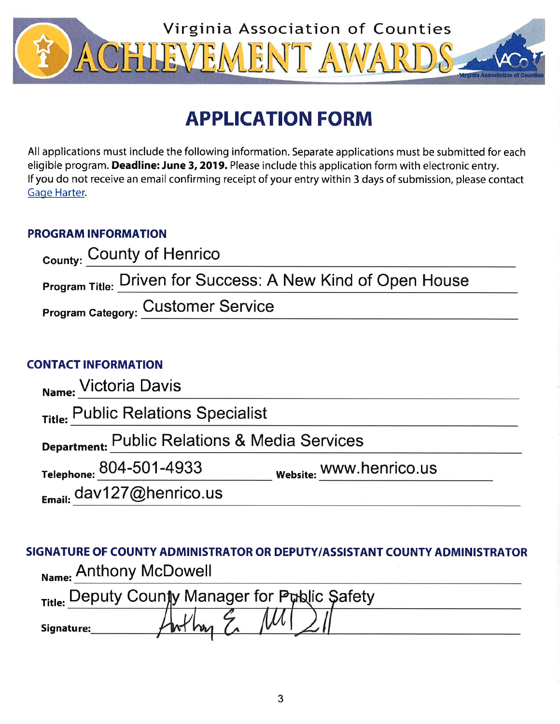

# **APPLICATION FORM**

All applications must include the following information. Separate applications must be submitted for each eligible program. Deadline: June 3, 2019. Please include this application form with electronic entry. If you do not receive an email confirming receipt of your entry within 3 days of submission, please contact Gage Harter.

# **PROGRAM INFORMATION**

| <sub>County:</sub> County of Henrico                        |  |
|-------------------------------------------------------------|--|
| Program Title: Driven for Success: A New Kind of Open House |  |
| <b>Program Category: Customer Service</b>                   |  |

# **CONTACT INFORMATION**

| Name: Victoria Davis                          |                         |  |
|-----------------------------------------------|-------------------------|--|
| Title: Public Relations Specialist            |                         |  |
| Department: Public Relations & Media Services |                         |  |
| Telephone: 804-501-4933                       | Website: WWW.henrico.us |  |
| $_{E_{\text{mail:}}}$ dav127@henrico.us       |                         |  |

SIGNATURE OF COUNTY ADMINISTRATOR OR DEPUTY/ASSISTANT COUNTY ADMINISTRATOR Name: Anthony McDowell

|            | Title: Deputy County Manager for Public Safety |  |
|------------|------------------------------------------------|--|
| Signature: |                                                |  |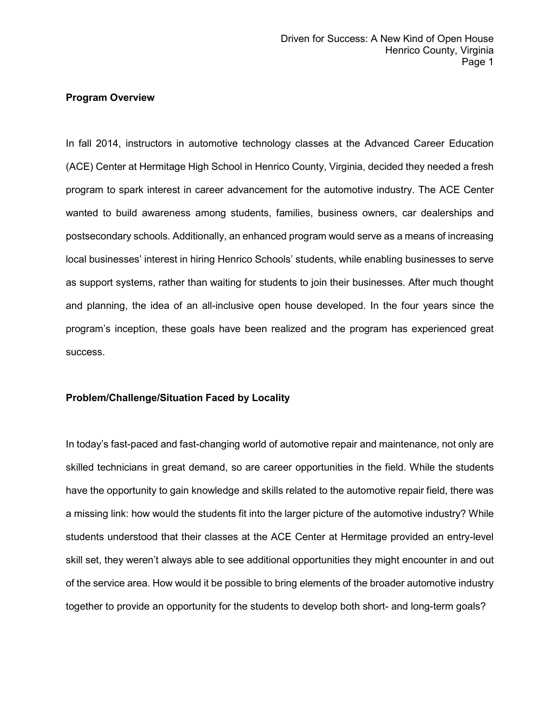## **Program Overview**

In fall 2014, instructors in automotive technology classes at the Advanced Career Education (ACE) Center at Hermitage High School in Henrico County, Virginia, decided they needed a fresh program to spark interest in career advancement for the automotive industry. The ACE Center wanted to build awareness among students, families, business owners, car dealerships and postsecondary schools. Additionally, an enhanced program would serve as a means of increasing local businesses' interest in hiring Henrico Schools' students, while enabling businesses to serve as support systems, rather than waiting for students to join their businesses. After much thought and planning, the idea of an all-inclusive open house developed. In the four years since the program's inception, these goals have been realized and the program has experienced great success.

# **Problem/Challenge/Situation Faced by Locality**

In today's fast-paced and fast-changing world of automotive repair and maintenance, not only are skilled technicians in great demand, so are career opportunities in the field. While the students have the opportunity to gain knowledge and skills related to the automotive repair field, there was a missing link: how would the students fit into the larger picture of the automotive industry? While students understood that their classes at the ACE Center at Hermitage provided an entry-level skill set, they weren't always able to see additional opportunities they might encounter in and out of the service area. How would it be possible to bring elements of the broader automotive industry together to provide an opportunity for the students to develop both short- and long-term goals?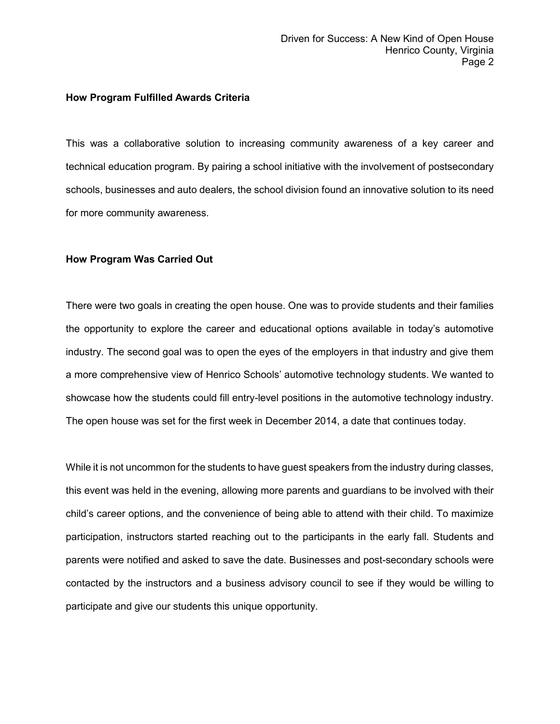#### **How Program Fulfilled Awards Criteria**

This was a collaborative solution to increasing community awareness of a key career and technical education program. By pairing a school initiative with the involvement of postsecondary schools, businesses and auto dealers, the school division found an innovative solution to its need for more community awareness.

#### **How Program Was Carried Out**

There were two goals in creating the open house. One was to provide students and their families the opportunity to explore the career and educational options available in today's automotive industry. The second goal was to open the eyes of the employers in that industry and give them a more comprehensive view of Henrico Schools' automotive technology students. We wanted to showcase how the students could fill entry-level positions in the automotive technology industry. The open house was set for the first week in December 2014, a date that continues today.

While it is not uncommon for the students to have guest speakers from the industry during classes, this event was held in the evening, allowing more parents and guardians to be involved with their child's career options, and the convenience of being able to attend with their child. To maximize participation, instructors started reaching out to the participants in the early fall. Students and parents were notified and asked to save the date. Businesses and post-secondary schools were contacted by the instructors and a business advisory council to see if they would be willing to participate and give our students this unique opportunity.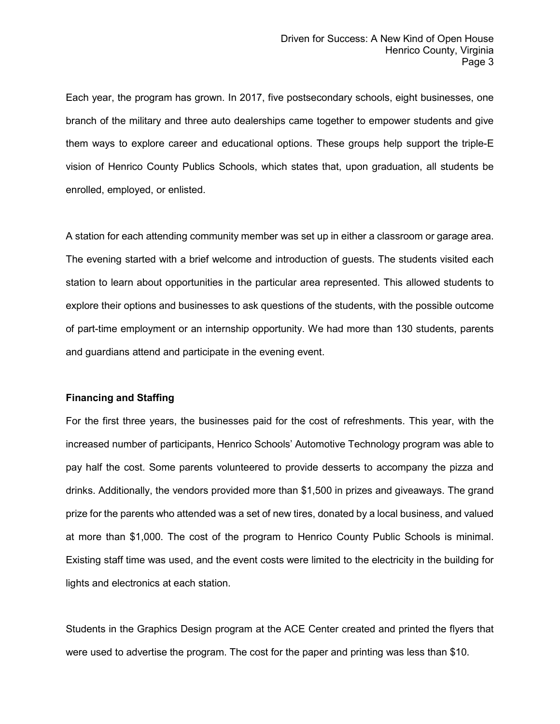Each year, the program has grown. In 2017, five postsecondary schools, eight businesses, one branch of the military and three auto dealerships came together to empower students and give them ways to explore career and educational options. These groups help support the triple-E vision of Henrico County Publics Schools, which states that, upon graduation, all students be enrolled, employed, or enlisted.

A station for each attending community member was set up in either a classroom or garage area. The evening started with a brief welcome and introduction of guests. The students visited each station to learn about opportunities in the particular area represented. This allowed students to explore their options and businesses to ask questions of the students, with the possible outcome of part-time employment or an internship opportunity. We had more than 130 students, parents and guardians attend and participate in the evening event.

## **Financing and Staffing**

For the first three years, the businesses paid for the cost of refreshments. This year, with the increased number of participants, Henrico Schools' Automotive Technology program was able to pay half the cost. Some parents volunteered to provide desserts to accompany the pizza and drinks. Additionally, the vendors provided more than \$1,500 in prizes and giveaways. The grand prize for the parents who attended was a set of new tires, donated by a local business, and valued at more than \$1,000. The cost of the program to Henrico County Public Schools is minimal. Existing staff time was used, and the event costs were limited to the electricity in the building for lights and electronics at each station.

Students in the Graphics Design program at the ACE Center created and printed the flyers that were used to advertise the program. The cost for the paper and printing was less than \$10.